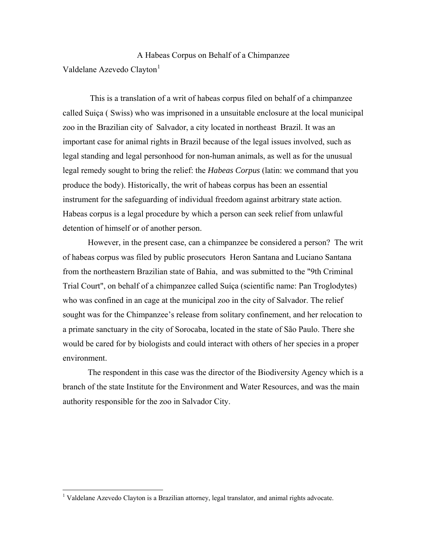A Habeas Corpus on Behalf of a Chimpanzee Valdelane Azevedo Clavton<sup>[1](#page-0-0)</sup>

 This is a translation of a writ of habeas corpus filed on behalf of a chimpanzee called Suiça ( Swiss) who was imprisoned in a unsuitable enclosure at the local municipal zoo in the Brazilian city of Salvador, a city located in northeast Brazil. It was an important case for animal rights in Brazil because of the legal issues involved, such as legal standing and legal personhood for non-human animals, as well as for the unusual legal remedy sought to bring the relief: the *Habeas Corpus* (latin: we command that you produce the body). Historically, the writ of habeas corpus has been an essential instrument for the safeguarding of individual freedom against arbitrary state action. Habeas corpus is a legal procedure by which a person can seek relief from unlawful detention of himself or of another person.

 However, in the present case, can a chimpanzee be considered a person? The writ of habeas corpus was filed by public prosecutors Heron Santana and Luciano Santana from the northeastern Brazilian state of Bahia, and was submitted to the "9th Criminal Trial Court", on behalf of a chimpanzee called Suíça (scientific name: Pan Troglodytes) who was confined in an cage at the municipal zoo in the city of Salvador. The relief sought was for the Chimpanzee's release from solitary confinement, and her relocation to a primate sanctuary in the city of Sorocaba, located in the state of São Paulo. There she would be cared for by biologists and could interact with others of her species in a proper environment.

 The respondent in this case was the director of the Biodiversity Agency which is a branch of the state Institute for the Environment and Water Resources, and was the main authority responsible for the zoo in Salvador City.

<span id="page-0-0"></span><sup>&</sup>lt;sup>1</sup> Valdelane Azevedo Clayton is a Brazilian attorney, legal translator, and animal rights advocate.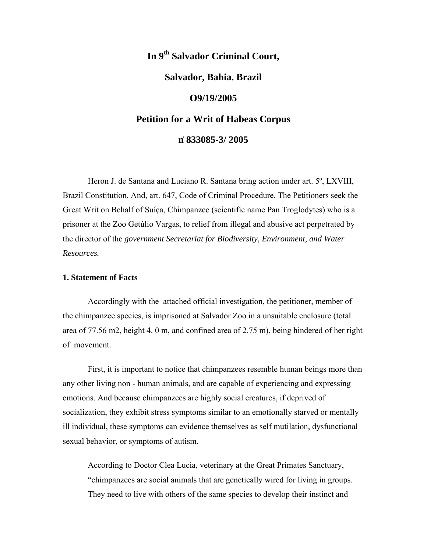# **In 9th Salvador Criminal Court,**

# **Salvador, Bahia. Brazil**

### **O9/19/2005**

# **Petition for a Writ of Habeas Corpus**

### **n**۫ **833085-3/ 2005**

 Heron J. de Santana and Luciano R. Santana bring action under art. 5º, LXVIII, Brazil Constitution. And, art. 647, Code of Criminal Procedure. The Petitioners seek the Great Writ on Behalf of Suíça, Chimpanzee (scientific name Pan Troglodytes) who is a prisoner at the Zoo Getúlio Vargas, to relief from illegal and abusive act perpetrated by the director of the *government Secretariat for Biodiversity, Environment, and Water Resources.* 

#### **1. Statement of Facts**

 Accordingly with the attached official investigation, the petitioner, member of the chimpanzee species, is imprisoned at Salvador Zoo in a unsuitable enclosure (total area of 77.56 m2, height 4. 0 m, and confined area of 2.75 m), being hindered of her right of movement.

 First, it is important to notice that chimpanzees resemble human beings more than any other living non - human animals, and are capable of experiencing and expressing emotions. And because chimpanzees are highly social creatures, if deprived of socialization, they exhibit stress symptoms similar to an emotionally starved or mentally ill individual, these symptoms can evidence themselves as self mutilation, dysfunctional sexual behavior, or symptoms of autism.

 According to Doctor Clea Lucia, veterinary at the Great Primates Sanctuary, "chimpanzees are social animals that are genetically wired for living in groups. They need to live with others of the same species to develop their instinct and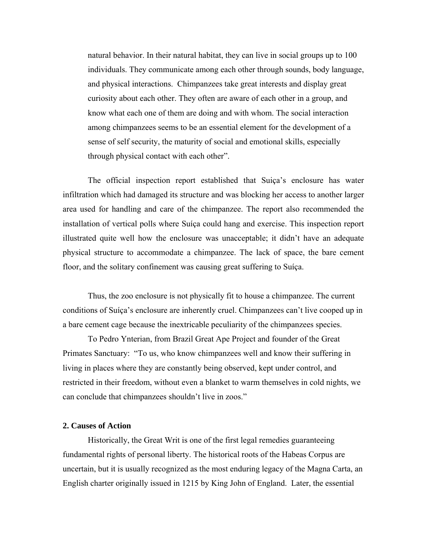natural behavior. In their natural habitat, they can live in social groups up to 100 individuals. They communicate among each other through sounds, body language, and physical interactions. Chimpanzees take great interests and display great curiosity about each other. They often are aware of each other in a group, and know what each one of them are doing and with whom. The social interaction among chimpanzees seems to be an essential element for the development of a sense of self security, the maturity of social and emotional skills, especially through physical contact with each other".

 The official inspection report established that Suiça's enclosure has water infiltration which had damaged its structure and was blocking her access to another larger area used for handling and care of the chimpanzee. The report also recommended the installation of vertical polls where Suíça could hang and exercise. This inspection report illustrated quite well how the enclosure was unacceptable; it didn't have an adequate physical structure to accommodate a chimpanzee. The lack of space, the bare cement floor, and the solitary confinement was causing great suffering to Suíça.

 Thus, the zoo enclosure is not physically fit to house a chimpanzee. The current conditions of Suíça's enclosure are inherently cruel. Chimpanzees can't live cooped up in a bare cement cage because the inextricable peculiarity of the chimpanzees species.

 To Pedro Ynterian, from Brazil Great Ape Project and founder of the Great Primates Sanctuary: "To us, who know chimpanzees well and know their suffering in living in places where they are constantly being observed, kept under control, and restricted in their freedom, without even a blanket to warm themselves in cold nights, we can conclude that chimpanzees shouldn't live in zoos."

#### **2. Causes of Action**

 Historically, the Great Writ is one of the first legal remedies guaranteeing fundamental rights of personal liberty. The historical roots of the Habeas Corpus are uncertain, but it is usually recognized as the most enduring legacy of the Magna Carta, an [English](http://en.wikipedia.org/wiki/Kingdom_of_England) [charter](http://en.wikipedia.org/wiki/Charter) originally issued in 1215 by King John of England. Later, the essential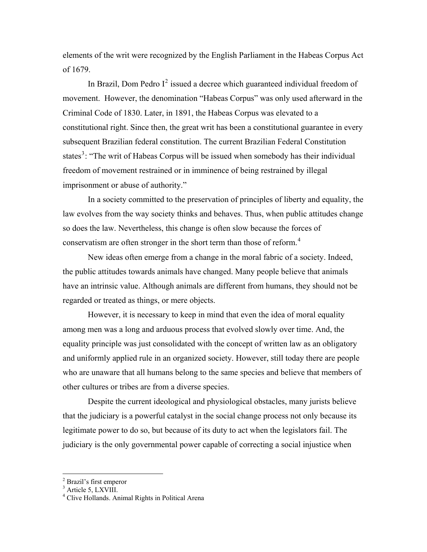elements of the writ were recognized by the English Parliament in the Habeas Corpus Act of 1679.

In Brazil, Dom Pedro  $I^2$  $I^2$  issued a decree which guaranteed individual freedom of movement. However, the denomination "Habeas Corpus" was only used afterward in the Criminal Code of 1830. Later, in 1891, the Habeas Corpus was elevated to a constitutional right. Since then, the great writ has been a constitutional guarantee in every subsequent Brazilian federal constitution. The current Brazilian Federal Constitution states<sup>[3](#page-3-1)</sup>: "The writ of Habeas Corpus will be issued when somebody has their individual freedom of movement restrained or in imminence of being restrained by illegal imprisonment or abuse of authority."

 In a society committed to the preservation of principles of liberty and equality, the law evolves from the way society thinks and behaves. Thus, when public attitudes change so does the law. Nevertheless, this change is often slow because the forces of conservatism are often stronger in the short term than those of reform.<sup>[4](#page-3-2)</sup>

 New ideas often emerge from a change in the moral fabric of a society. Indeed, the public attitudes towards animals have changed. Many people believe that animals have an intrinsic value. Although animals are different from humans, they should not be regarded or treated as things, or mere objects.

 However, it is necessary to keep in mind that even the idea of moral equality among men was a long and arduous process that evolved slowly over time. And, the equality principle was just consolidated with the concept of written law as an obligatory and uniformly applied rule in an organized society. However, still today there are people who are unaware that all humans belong to the same species and believe that members of other cultures or tribes are from a diverse species.

 Despite the current ideological and physiological obstacles, many jurists believe that the judiciary is a powerful catalyst in the social change process not only because its legitimate power to do so, but because of its duty to act when the legislators fail. The judiciary is the only governmental power capable of correcting a social injustice when

<span id="page-3-0"></span><sup>&</sup>lt;sup>2</sup> Brazil's first emperor

<span id="page-3-1"></span><sup>&</sup>lt;sup>3</sup> Article 5, LXVIII.

<span id="page-3-2"></span><sup>4</sup> Clive Hollands. Animal Rights in Political Arena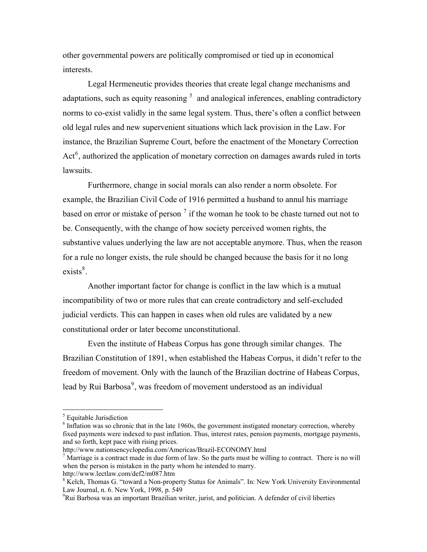other governmental powers are politically compromised or tied up in economical interests.

 Legal Hermeneutic provides theories that create legal change mechanisms and adaptations, such as equity reasoning  $<sup>5</sup>$  $<sup>5</sup>$  $<sup>5</sup>$  and analogical inferences, enabling contradictory</sup> norms to co-exist validly in the same legal system. Thus, there's often a conflict between old legal rules and new supervenient situations which lack provision in the Law. For instance, the Brazilian Supreme Court, before the enactment of the Monetary Correction Act<sup>[6](#page-4-1)</sup>, authorized the application of monetary correction on damages awards ruled in torts lawsuits.

 Furthermore, change in social morals can also render a norm obsolete. For example, the Brazilian Civil Code of 1916 permitted a husband to annul his marriage based on error or mistake of person<sup>[7](#page-4-2)</sup> if the woman he took to be chaste turned out not to be. Consequently, with the change of how society perceived women rights, the substantive values underlying the law are not acceptable anymore. Thus, when the reason for a rule no longer exists, the rule should be changed because the basis for it no long  $exists<sup>8</sup>$  $exists<sup>8</sup>$  $exists<sup>8</sup>$ .

 Another important factor for change is conflict in the law which is a mutual incompatibility of two or more rules that can create contradictory and self-excluded judicial verdicts. This can happen in cases when old rules are validated by a new constitutional order or later become unconstitutional.

 Even the institute of Habeas Corpus has gone through similar changes. The Brazilian Constitution of 1891, when established the Habeas Corpus, it didn't refer to the freedom of movement. Only with the launch of the Brazilian doctrine of Habeas Corpus, lead by Rui Barbosa<sup>[9](#page-4-4)</sup>, was freedom of movement understood as an individual

<span id="page-4-0"></span><sup>&</sup>lt;sup>5</sup> Equitable Jurisdiction

<span id="page-4-1"></span><sup>&</sup>lt;sup>6</sup> Inflation was so chronic that in the late 1960s, the government instigated monetary correction, whereby fixed payments were indexed to past inflation. Thus, interest rates, pension payments, mortgage payments, and so forth, kept pace with rising prices.

http://www.nationsencyclopedia.com/Americas/Brazil-ECONOMY.html 7

<span id="page-4-2"></span><sup>&</sup>lt;sup>7</sup> Marriage is a contract made in due form of law. So the parts must be willing to contract. There is no will when the person is mistaken in the party whom he intended to marry. http://www.lectlaw.com/def2/m087.htm

<span id="page-4-3"></span><sup>&</sup>lt;sup>8</sup> Kelch, Thomas G. "toward a Non-property Status for Animals". In: New York University Environmental Law Journal, n. 6. New York, 1998, p. 549

<span id="page-4-4"></span><sup>&</sup>lt;sup>9</sup>Rui Barbosa was an important [Brazilian](http://en.wikipedia.org/wiki/Brazil) [writer,](http://en.wikipedia.org/wiki/Writer) [jurist](http://en.wikipedia.org/wiki/Jurist), and [politician](http://en.wikipedia.org/wiki/Politician). A defender of civil liberties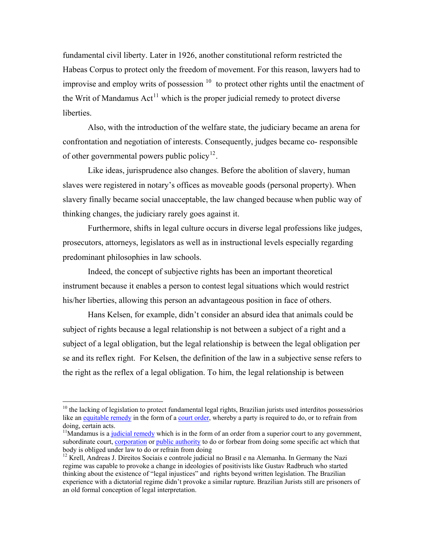fundamental civil liberty. Later in 1926, another constitutional reform restricted the Habeas Corpus to protect only the freedom of movement. For this reason, lawyers had to improvise and employ writs of possession  $10$  to protect other rights until the enactment of the Writ of Mandamus  $Act^{11}$  $Act^{11}$  $Act^{11}$  which is the proper judicial remedy to protect diverse liberties.

 Also, with the introduction of the welfare state, the judiciary became an arena for confrontation and negotiation of interests. Consequently, judges became co- responsible of other governmental powers public policy<sup>[12](#page-5-2)</sup>.

 Like ideas, jurisprudence also changes. Before the abolition of slavery, human slaves were registered in notary's offices as moveable goods (personal property). When slavery finally became social unacceptable, the law changed because when public way of thinking changes, the judiciary rarely goes against it.

 Furthermore, shifts in legal culture occurs in diverse legal professions like judges, prosecutors, attorneys, legislators as well as in instructional levels especially regarding predominant philosophies in law schools.

 Indeed, the concept of subjective rights has been an important theoretical instrument because it enables a person to contest legal situations which would restrict his/her liberties, allowing this person an advantageous position in face of others.

 Hans Kelsen, for example, didn't consider an absurd idea that animals could be subject of rights because a legal relationship is not between a subject of a right and a subject of a legal obligation, but the legal relationship is between the legal obligation per se and its reflex right. For Kelsen, the definition of the law in a subjective sense refers to the right as the reflex of a legal obligation. To him, the legal relationship is between

<span id="page-5-0"></span> $10$  the lacking of legislation to protect fundamental legal rights, Brazilian jurists used interditos possessórios like an [equitable remedy](http://en.wikipedia.org/wiki/Equitable_remedy) in the form of a [court order,](http://en.wikipedia.org/wiki/Court_order) whereby a party is required to do, or to refrain from doing, certain acts.

<span id="page-5-1"></span> $11$ Mandamus is a [judicial remedy](http://en.wikipedia.org/wiki/Judicial_remedy) which is in the form of an order from a superior court to any government, subordinate court, [corporation](http://en.wikipedia.org/wiki/Corporation) or [public authority](http://en.wikipedia.org/wiki/Public_authority) to do or forbear from doing some specific act which that body is obliged under law to do or refrain from doing

<span id="page-5-2"></span> $12$  Krell, Andreas J. Direitos Sociais e controle judicial no Brasil e na Alemanha. In Germany the Nazi regime was capable to provoke a change in ideologies of positivists like Gustav Radbruch who started thinking about the existence of "legal injustices" and rights beyond written legislation. The Brazilian experience with a dictatorial regime didn't provoke a similar rupture. Brazilian Jurists still are prisoners of an old formal conception of legal interpretation.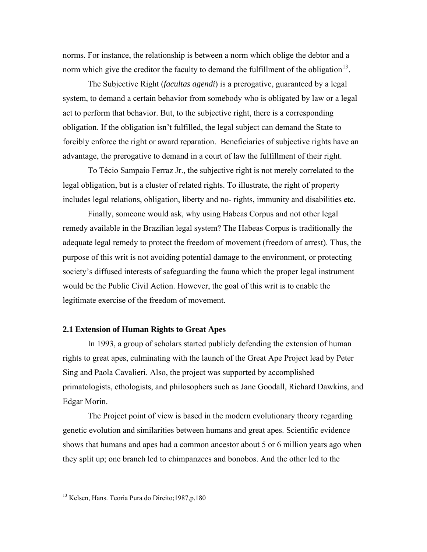norms. For instance, the relationship is between a norm which oblige the debtor and a norm which give the creditor the faculty to demand the fulfillment of the obligation  $13$ .

 The Subjective Right (*facultas agendi*) is a prerogative, guaranteed by a legal system, to demand a certain behavior from somebody who is obligated by law or a legal act to perform that behavior. But, to the subjective right, there is a corresponding obligation. If the obligation isn't fulfilled, the legal subject can demand the State to forcibly enforce the right or award reparation. Beneficiaries of subjective rights have an advantage, the prerogative to demand in a court of law the fulfillment of their right.

 To Técio Sampaio Ferraz Jr., the subjective right is not merely correlated to the legal obligation, but is a cluster of related rights. To illustrate, the right of property includes legal relations, obligation, liberty and no- rights, immunity and disabilities etc.

 Finally, someone would ask, why using Habeas Corpus and not other legal remedy available in the Brazilian legal system? The Habeas Corpus is traditionally the adequate legal remedy to protect the freedom of movement (freedom of arrest). Thus, the purpose of this writ is not avoiding potential damage to the environment, or protecting society's diffused interests of safeguarding the fauna which the proper legal instrument would be the Public Civil Action. However, the goal of this writ is to enable the legitimate exercise of the freedom of movement.

#### **2.1 Extension of Human Rights to Great Apes**

 In 1993, a group of scholars started publicly defending the extension of human rights to great apes, culminating with the launch of the Great Ape Project lead by Peter Sing and Paola Cavalieri. Also, the project was supported by accomplished primatologists, ethologists, and philosophers such as Jane Goodall, Richard Dawkins, and Edgar Morin.

 The Project point of view is based in the modern evolutionary theory regarding genetic evolution and similarities between humans and great apes. Scientific evidence shows that humans and apes had a common ancestor about 5 or 6 million years ago when they split up; one branch led to chimpanzees and bonobos. And the other led to the

<u>.</u>

<span id="page-6-0"></span><sup>&</sup>lt;sup>13</sup> Kelsen, Hans. Teoria Pura do Direito;1987,p.180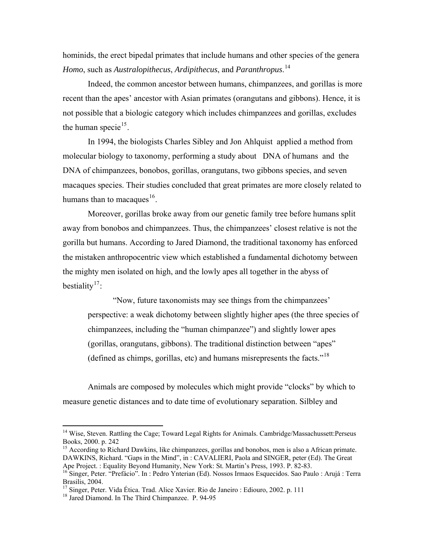hominids, the erect bipedal primates that include humans and other species of the genera *Homo*, such as *Australopithecus*, *Ardipithecus*, and *Paranthropus*. [14](#page-7-0)

 Indeed, the common ancestor between humans, chimpanzees, and gorillas is more recent than the apes' ancestor with Asian primates (orangutans and gibbons). Hence, it is not possible that a biologic category which includes chimpanzees and gorillas, excludes the human specie<sup>[15](#page-7-1)</sup>.

 In 1994, the biologists Charles Sibley and Jon Ahlquist applied a method from molecular biology to taxonomy, performing a study about DNA of humans and the DNA of chimpanzees, bonobos, gorillas, orangutans, two gibbons species, and seven macaques species. Their studies concluded that great primates are more closely related to humans than to macaques<sup>[16](#page-7-2)</sup>.

 Moreover, gorillas broke away from our genetic family tree before humans split away from bonobos and chimpanzees. Thus, the chimpanzees' closest relative is not the gorilla but humans. According to Jared Diamond, the traditional taxonomy has enforced the mistaken anthropocentric view which established a fundamental dichotomy between the mighty men isolated on high, and the lowly apes all together in the abyss of bestiality<sup>[17](#page-7-3)</sup>:

 "Now, future taxonomists may see things from the chimpanzees' perspective: a weak dichotomy between slightly higher apes (the three species of chimpanzees, including the "human chimpanzee") and slightly lower apes (gorillas, orangutans, gibbons). The traditional distinction between "apes" (defined as chimps, gorillas, etc) and humans misrepresents the facts."[18](#page-7-4)

 Animals are composed by molecules which might provide "clocks" by which to measure genetic distances and to date time of evolutionary separation. Silbley and

<span id="page-7-0"></span><sup>&</sup>lt;sup>14</sup> Wise, Steven. Rattling the Cage; Toward Legal Rights for Animals. Cambridge/Massachussett: Perseus Books, 2000. p. 242

<span id="page-7-1"></span><sup>&</sup>lt;sup>15</sup> According to Richard Dawkins, like chimpanzees, gorillas and bonobos, men is also a African primate. DAWKINS, Richard. "Gaps in the Mind", in : CAVALIERI, Paola and SINGER, peter (Ed). The Great Ape Project. : Equality Beyond Humanity, New York: St. Martin's Press, 1993. P. 82-83.

<span id="page-7-2"></span><sup>&</sup>lt;sup>16</sup> Singer, Peter. "Prefácio". In : Pedro Ynterian (Ed). Nossos Irmaos Esquecidos. Sao Paulo : Arujá : Terra Brasilis, 2004.

<sup>&</sup>lt;sup>17</sup> Singer, Peter. Vida Ética. Trad. Alice Xavier. Rio de Janeiro : Ediouro, 2002. p. 111

<span id="page-7-4"></span><span id="page-7-3"></span><sup>&</sup>lt;sup>18</sup> Jared Diamond. In The Third Chimpanzee. P. 94-95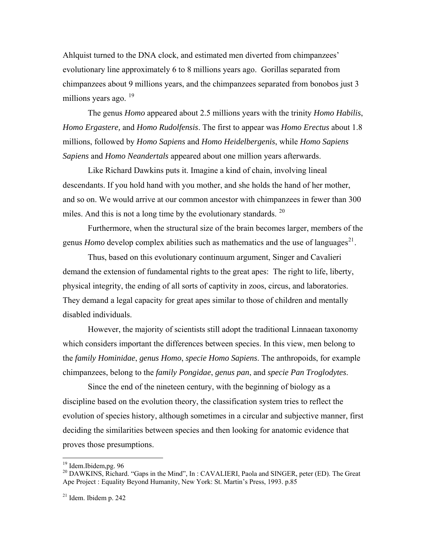Ahlquist turned to the DNA clock, and estimated men diverted from chimpanzees' evolutionary line approximately 6 to 8 millions years ago. Gorillas separated from chimpanzees about 9 millions years, and the chimpanzees separated from bonobos just 3 millions years ago. <sup>[19](#page-8-0)</sup>

 The genus *Homo* appeared about 2.5 millions years with the trinity *Homo Habilis*, *Homo Ergastere,* and *Homo Rudolfensis*. The first to appear was *Homo Erectus* about 1.8 millions, followed by *Homo Sapiens* and *Homo Heidelbergenis*, while *Homo Sapiens Sapiens* and *Homo Neandertals* appeared about one million years afterwards.

 Like Richard Dawkins puts it. Imagine a kind of chain, involving lineal descendants. If you hold hand with you mother, and she holds the hand of her mother, and so on. We would arrive at our common ancestor with chimpanzees in fewer than 300 miles. And this is not a long time by the evolutionary standards.  $20$ 

 Furthermore, when the structural size of the brain becomes larger, members of the genus *Homo* develop complex abilities such as mathematics and the use of languages<sup>[21](#page-8-2)</sup>.

 Thus, based on this evolutionary continuum argument, Singer and Cavalieri demand the extension of fundamental rights to the great apes: The right to life, liberty, physical integrity, the ending of all sorts of captivity in zoos, circus, and laboratories. They demand a legal capacity for great apes similar to those of children and mentally disabled individuals.

 However, the majority of scientists still adopt the traditional Linnaean taxonomy which considers important the differences between species. In this view, men belong to the *family Hominidae*, *genus Homo*, *specie Homo Sapiens*. The anthropoids, for example chimpanzees, belong to the *family Pongidae*, *genus pan*, and *specie Pan Troglodytes*.

 Since the end of the nineteen century, with the beginning of biology as a discipline based on the evolution theory, the classification system tries to reflect the evolution of species history, although sometimes in a circular and subjective manner, first deciding the similarities between species and then looking for anatomic evidence that proves those presumptions.

1

<span id="page-8-0"></span><sup>&</sup>lt;sup>19</sup> Idem.Ibidem,pg. 96

<span id="page-8-1"></span><sup>&</sup>lt;sup>20</sup> DAWKINS, Richard. "Gaps in the Mind", In: CAVALIERI, Paola and SINGER, peter (ED). The Great Ape Project : Equality Beyond Humanity, New York: St. Martin's Press, 1993. p.85

<span id="page-8-2"></span> $21$  Idem. Ibidem p. 242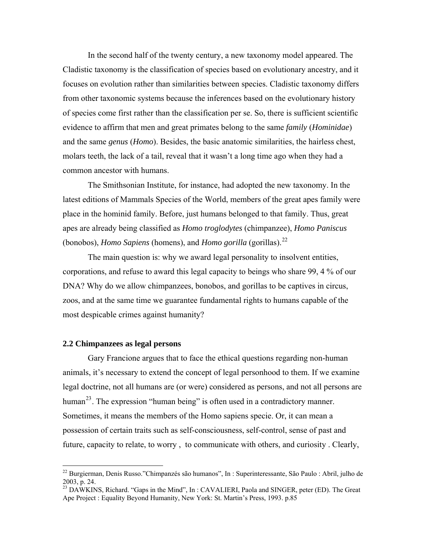In the second half of the twenty century, a new taxonomy model appeared. The Cladistic taxonomy is the classification of species based on evolutionary ancestry, and it focuses on evolution rather than similarities between species. Cladistic taxonomy differs from other taxonomic systems because the inferences based on the evolutionary history of species come first rather than the classification per se. So, there is sufficient scientific evidence to affirm that men and great primates belong to the same *family* (*Hominidae*) and the same *genus* (*Homo*). Besides, the basic anatomic similarities, the hairless chest, molars teeth, the lack of a tail, reveal that it wasn't a long time ago when they had a common ancestor with humans.

 The Smithsonian Institute, for instance, had adopted the new taxonomy. In the latest editions of Mammals Species of the World, members of the great apes family were place in the hominid family. Before, just humans belonged to that family. Thus, great apes are already being classified as *Homo troglodytes* (chimpanzee), *Homo Paniscus* (bonobos), *Homo Sapiens* (homens), and *Homo gorilla* (gorillas).[22](#page-9-0) 

 The main question is: why we award legal personality to insolvent entities, corporations, and refuse to award this legal capacity to beings who share 99, 4 % of our DNA? Why do we allow chimpanzees, bonobos, and gorillas to be captives in circus, zoos, and at the same time we guarantee fundamental rights to humans capable of the most despicable crimes against humanity?

#### **2.2 Chimpanzees as legal persons**

 $\overline{a}$ 

 Gary Francione argues that to face the ethical questions regarding non-human animals, it's necessary to extend the concept of legal personhood to them. If we examine legal doctrine, not all humans are (or were) considered as persons, and not all persons are human<sup>[23](#page-9-1)</sup>. The expression "human being" is often used in a contradictory manner. Sometimes, it means the members of the Homo sapiens specie. Or, it can mean a possession of certain traits such as self-consciousness, self-control, sense of past and future, capacity to relate, to worry , to communicate with others, and curiosity . Clearly,

<span id="page-9-0"></span><sup>22</sup> Burgierman, Denis Russo."Chimpanzés são humanos", In : Superinteressante, São Paulo : Abril, julho de 2003, p. 24.

<span id="page-9-1"></span><sup>&</sup>lt;sup>23</sup> DAWKINS, Richard. "Gaps in the Mind", In: CAVALIERI, Paola and SINGER, peter (ED). The Great Ape Project : Equality Beyond Humanity, New York: St. Martin's Press, 1993. p.85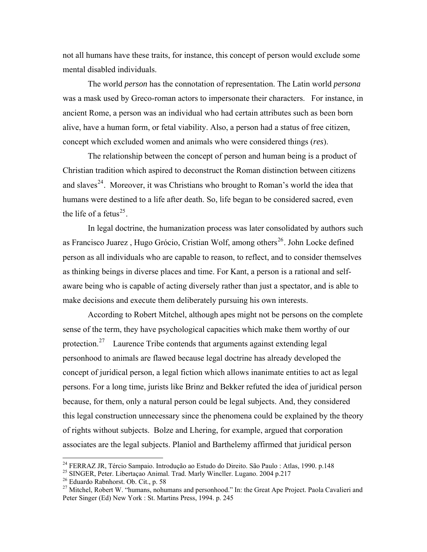not all humans have these traits, for instance, this concept of person would exclude some mental disabled individuals.

 The world *person* has the connotation of representation. The Latin world *persona*  was a mask used by Greco-roman actors to impersonate their characters. For instance, in ancient Rome, a person was an individual who had certain attributes such as been born alive, have a human form, or fetal viability. Also, a person had a status of free citizen, concept which excluded women and animals who were considered things (*res*).

 The relationship between the concept of person and human being is a product of Christian tradition which aspired to deconstruct the Roman distinction between citizens and slaves<sup>[24](#page-10-0)</sup>. Moreover, it was Christians who brought to Roman's world the idea that humans were destined to a life after death. So, life began to be considered sacred, even the life of a fetus<sup>[25](#page-10-1)</sup>.

 In legal doctrine, the humanization process was later consolidated by authors such as Francisco Juarez, Hugo Grócio, Cristian Wolf, among others<sup>[26](#page-10-2)</sup>. John Locke defined person as all individuals who are capable to reason, to reflect, and to consider themselves as thinking beings in diverse places and time. For Kant, a person is a rational and selfaware being who is capable of acting diversely rather than just a spectator, and is able to make decisions and execute them deliberately pursuing his own interests.

 According to Robert Mitchel, although apes might not be persons on the complete sense of the term, they have psychological capacities which make them worthy of our protection.<sup>[27](#page-10-3)</sup> Laurence Tribe contends that arguments against extending legal personhood to animals are flawed because legal doctrine has already developed the concept of juridical person, a [legal fiction](http://en.wikipedia.org/wiki/Legal_fiction) which allows inanimate entities to act as legal [persons.](http://en.wikipedia.org/wiki/Person) For a long time, jurists like Brinz and Bekker refuted the idea of juridical person because, for them, only a natural person could be legal subjects. And, they considered this legal construction unnecessary since the phenomena could be explained by the theory of rights without subjects. Bolze and Lhering, for example, argued that corporation associates are the legal subjects. Planiol and Barthelemy affirmed that juridical person

<sup>&</sup>lt;sup>24</sup> FERRAZ JR, Tércio Sampaio. Introdução ao Estudo do Direito. São Paulo : Atlas, 1990. p.148

<span id="page-10-1"></span><span id="page-10-0"></span><sup>&</sup>lt;sup>25</sup> SINGER, Peter. Libertação Animal. Trad. Marly Wincller. Lugano. 2004 p.217

<span id="page-10-2"></span><sup>26</sup> Eduardo Rabnhorst. Ob. Cit., p. 58

<span id="page-10-3"></span><sup>&</sup>lt;sup>27</sup> Mitchel, Robert W. "humans, nohumans and personhood." In: the Great Ape Project. Paola Cavalieri and Peter Singer (Ed) New York : St. Martins Press, 1994. p. 245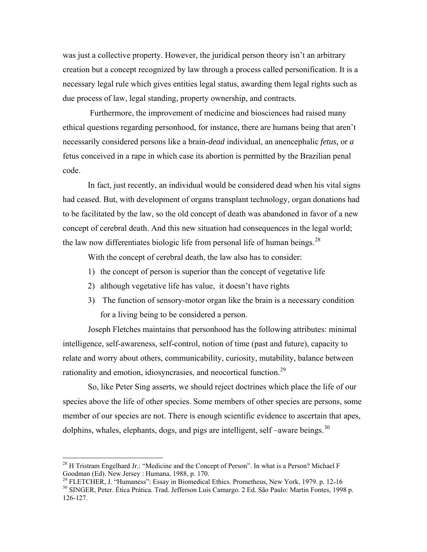was just a collective property. However, the juridical person theory isn't an arbitrary creation but a concept recognized by law through a process called personification. It is a necessary legal rule which gives entities legal status, awarding them legal rights such as due process of law, legal standing, [property](http://en.wikipedia.org/wiki/Property) ownership, and [contracts.](http://en.wikipedia.org/wiki/Contract)

 Furthermore, the improvement of medicine and biosciences had raised many ethical questions regarding personhood, for instance, there are humans being that aren't necessarily considered persons like a brain-*dead* individual, an anencephalic *fetus,* or *a* fetus conceived in a rape in which case its abortion is permitted by the Brazilian penal code.

 In fact, just recently, an individual would be considered dead when his vital signs had ceased. But, with development of organs transplant technology, organ donations had to be facilitated by the law, so the old concept of death was abandoned in favor of a new concept of cerebral death. And this new situation had consequences in the legal world; the law now differentiates biologic life from personal life of human beings.<sup>[28](#page-11-0)</sup>

With the concept of cerebral death, the law also has to consider:

- 1) the concept of person is superior than the concept of vegetative life
- 2) although vegetative life has value, it doesn't have rights
- 3) The function of sensory-motor organ like the brain is a necessary condition for a living being to be considered a person.

 Joseph Fletches maintains that personhood has the following attributes: minimal intelligence, self-awareness, self-control, notion of time (past and future), capacity to relate and worry about others, communicability, curiosity, mutability, balance between rationality and emotion, idiosyncrasies, and neocortical function.<sup>[29](#page-11-1)</sup>

 So, like Peter Sing asserts, we should reject doctrines which place the life of our species above the life of other species. Some members of other species are persons, some member of our species are not. There is enough scientific evidence to ascertain that apes, dolphins, whales, elephants, dogs, and pigs are intelligent, self-aware beings.  $30$ 

<span id="page-11-0"></span> $^{28}$  H Tristram Engelhard Jr.: "Medicine and the Concept of Person". In what is a Person? Michael F Goodman (Ed). New Jersey : Humana, 1988, p. 170.<br><sup>29</sup> FLETCHER, J. "Humaness": Essay in Biomedical Ethics. Prometheus, New York, 1979. p. 12-16

<span id="page-11-1"></span>

<span id="page-11-2"></span><sup>&</sup>lt;sup>30</sup> SINGER, Peter. Ética Prática. Trad. Jefferson Luis Camargo. 2 Ed. São Paulo: Martin Fontes, 1998 p. 126-127.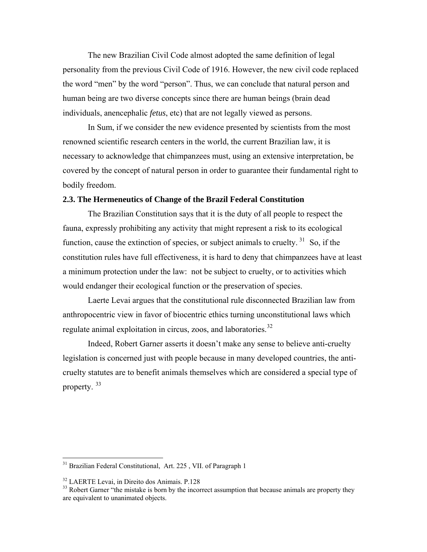The new Brazilian Civil Code almost adopted the same definition of legal personality from the previous Civil Code of 1916. However, the new civil code replaced the word "men" by the word "person". Thus, we can conclude that natural person and human being are two diverse concepts since there are human beings (brain dead individuals, anencephalic *fetus*, etc) that are not legally viewed as persons.

 In Sum, if we consider the new evidence presented by scientists from the most renowned scientific research centers in the world, the current Brazilian law, it is necessary to acknowledge that chimpanzees must, using an extensive interpretation, be covered by the concept of natural person in order to guarantee their fundamental right to bodily freedom.

## **2.3. The Hermeneutics of Change of the Brazil Federal Constitution**

 The Brazilian Constitution says that it is the duty of all people to respect the fauna, expressly prohibiting any activity that might represent a risk to its ecological function, cause the extinction of species, or subject animals to cruelty.  $31$  So, if the constitution rules have full effectiveness, it is hard to deny that chimpanzees have at least a minimum protection under the law: not be subject to cruelty, or to activities which would endanger their ecological function or the preservation of species.

 Laerte Levai argues that the constitutional rule disconnected Brazilian law from anthropocentric view in favor of biocentric ethics turning unconstitutional laws which regulate animal exploitation in circus, zoos, and laboratories.<sup>[32](#page-12-1)</sup>

 Indeed, Robert Garner asserts it doesn't make any sense to believe anti-cruelty legislation is concerned just with people because in many developed countries, the anticruelty statutes are to benefit animals themselves which are considered a special type of property. [33](#page-12-2)

<span id="page-12-0"></span><sup>&</sup>lt;sup>31</sup> Brazilian Federal Constitutional, Art. 225, VII. of Paragraph 1

<span id="page-12-1"></span><sup>32</sup> LAERTE Levai, in Direito dos Animais. P.128

<span id="page-12-2"></span> $33$  Robert Garner "the mistake is born by the incorrect assumption that because animals are property they are equivalent to unanimated objects.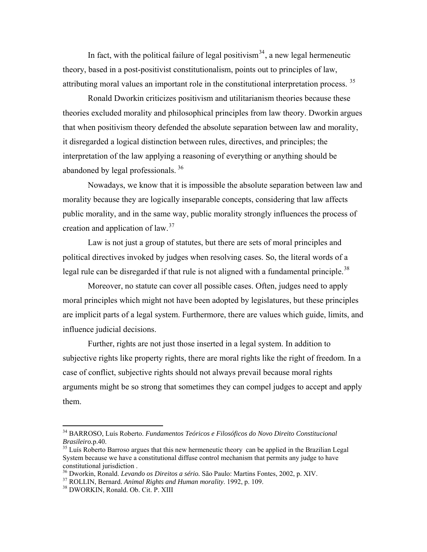In fact, with the political failure of legal positivism<sup>[34](#page-13-0)</sup>, a new legal hermeneutic theory, based in a post-positivist constitutionalism, points out to principles of law, attributing moral values an important role in the constitutional interpretation process.<sup>[35](#page-13-1)</sup>

 Ronald Dworkin criticizes positivism and utilitarianism theories because these theories excluded morality and philosophical principles from law theory. Dworkin argues that when positivism theory defended the absolute separation between law and morality, it disregarded a logical distinction between rules, directives, and principles; the interpretation of the law applying a reasoning of everything or anything should be abandoned by legal professionals. [36](#page-13-2)

 Nowadays, we know that it is impossible the absolute separation between law and morality because they are logically inseparable concepts, considering that law affects public morality, and in the same way, public morality strongly influences the process of creation and application of law.[37](#page-13-3)

 Law is not just a group of statutes, but there are sets of moral principles and political directives invoked by judges when resolving cases. So, the literal words of a legal rule can be disregarded if that rule is not aligned with a fundamental principle.<sup>[38](#page-13-4)</sup>

 Moreover, no statute can cover all possible cases. Often, judges need to apply moral principles which might not have been adopted by legislatures, but these principles are implicit parts of a legal system. Furthermore, there are values which guide, limits, and influence judicial decisions.

 Further, rights are not just those inserted in a legal system. In addition to subjective rights like property rights, there are moral rights like the right of freedom. In a case of conflict, subjective rights should not always prevail because moral rights arguments might be so strong that sometimes they can compel judges to accept and apply them.

1

<span id="page-13-0"></span><sup>34</sup> BARROSO, Luís Roberto. *Fundamentos Teóricos e Filosóficos do Novo Direito Constitucional Brasileiro.* p.40.<br><sup>35</sup> Luís Roberto Barroso argues that this new hermeneutic theory can be applied in the Brazilian Legal

<span id="page-13-1"></span>System because we have a constitutional diffuse control mechanism that permits any judge to have constitutional jurisdiction .

<span id="page-13-3"></span><span id="page-13-2"></span><sup>&</sup>lt;sup>36</sup> Dworkin, Ronald. *Levando os Direitos a sério*. São Paulo: Martins Fontes, 2002, p. XIV.<br><sup>37</sup> ROLLIN, Bernard. *Animal Rights and Human morality*. 1992, p. 109.<br><sup>38</sup> DWORKIN, Ronald. Ob. Cit. P. XIII

<span id="page-13-4"></span>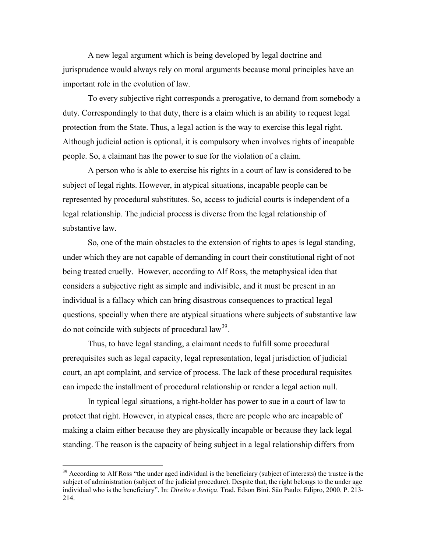A new legal argument which is being developed by legal doctrine and jurisprudence would always rely on moral arguments because moral principles have an important role in the evolution of law.

 To every subjective right corresponds a prerogative, to demand from somebody a duty. Correspondingly to that duty, there is a claim which is an ability to request legal protection from the State. Thus, a legal action is the way to exercise this legal right. Although judicial action is optional, it is compulsory when involves rights of incapable people. So, a claimant has the power to sue for the violation of a claim.

 A person who is able to exercise his rights in a court of law is considered to be subject of legal rights. However, in atypical situations, incapable people can be represented by procedural substitutes. So, access to judicial courts is independent of a legal relationship. The judicial process is diverse from the legal relationship of substantive law.

 So, one of the main obstacles to the extension of rights to apes is legal standing, under which they are not capable of demanding in court their constitutional right of not being treated cruelly. However, according to Alf Ross, the metaphysical idea that considers a subjective right as simple and indivisible, and it must be present in an individual is a fallacy which can bring disastrous consequences to practical legal questions, specially when there are atypical situations where subjects of substantive law do not coincide with subjects of procedural  $law<sup>39</sup>$  $law<sup>39</sup>$  $law<sup>39</sup>$ .

 Thus, to have legal standing, a claimant needs to fulfill some procedural prerequisites such as legal capacity, legal representation, legal jurisdiction of judicial court, an apt complaint, and service of process. The lack of these procedural requisites can impede the installment of procedural relationship or render a legal action null.

 In typical legal situations, a right-holder has power to sue in a court of law to protect that right. However, in atypical cases, there are people who are incapable of making a claim either because they are physically incapable or because they lack legal standing. The reason is the capacity of being subject in a legal relationship differs from

<span id="page-14-0"></span><sup>&</sup>lt;sup>39</sup> According to Alf Ross "the under aged individual is the beneficiary (subject of interests) the trustee is the subject of administration (subject of the judicial procedure). Despite that, the right belongs to the under age individual who is the beneficiary". In: *Direito e Justiça*. Trad. Edson Bini. São Paulo: Edipro, 2000. P. 213- 214.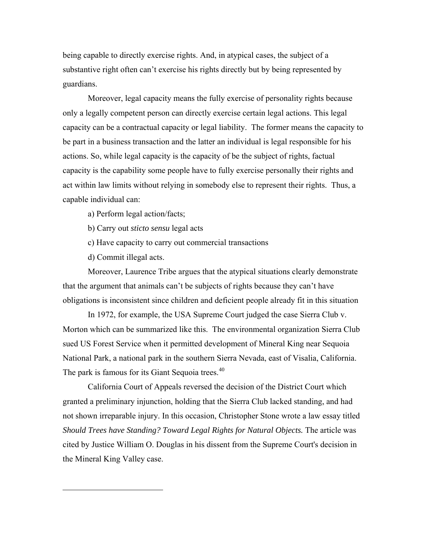being capable to directly exercise rights. And, in atypical cases, the subject of a substantive right often can't exercise his rights directly but by being represented by guardians.

 Moreover, legal capacity means the fully exercise of personality rights because only a legally competent person can directly exercise certain legal actions. This legal capacity can be a contractual capacity or legal liability. The former means the capacity to be part in a business transaction and the latter an individual is legal responsible for his actions. So, while legal capacity is the capacity of be the subject of rights, factual capacity is the capability some people have to fully exercise personally their rights and act within law limits without relying in somebody else to represent their rights. Thus, a capable individual can:

a) Perform legal action/facts;

b) Carry out *sticto sensu* legal acts

c) Have capacity to carry out commercial transactions

d) Commit illegal acts.

<span id="page-15-0"></span> $\overline{a}$ 

 Moreover, Laurence Tribe argues that the atypical situations clearly demonstrate that the argument that animals can't be subjects of rights because they can't have obligations is inconsistent since children and deficient people already fit in this situation

 In 1972, for example, the USA Supreme Court judged the case Sierra Club v. Morton which can be summarized like this. The environmental organization Sierra Club sued US Forest Service when it permitted development of [Mineral King](http://en.wikipedia.org/wiki/Mineral_King) near [Sequoia](http://en.wikipedia.org/wiki/Sequoia_National_Park)  [National Park](http://en.wikipedia.org/wiki/Sequoia_National_Park), a [national park](http://en.wikipedia.org/wiki/National_park) in the southern [Sierra Nevada](http://en.wikipedia.org/wiki/Sierra_Nevada_%28United_States%29), east of [Visalia, California](http://en.wikipedia.org/wiki/Visalia,_California). The park is famous for its Giant Sequoia trees.<sup>[40](#page-15-0)</sup>

 California Court of Appeals reversed the decision of the District Court which granted a preliminary injunction, holding that the Sierra Club lacked standing, and had not shown irreparable injury. In this occasion, Christopher Stone wrote a law essay titled *Should Trees have Standing? Toward Legal Rights for Natural Objects.* The article was cited by Justice William O. Douglas in his dissent from the Supreme Court's decision in the Mineral King Valley case.